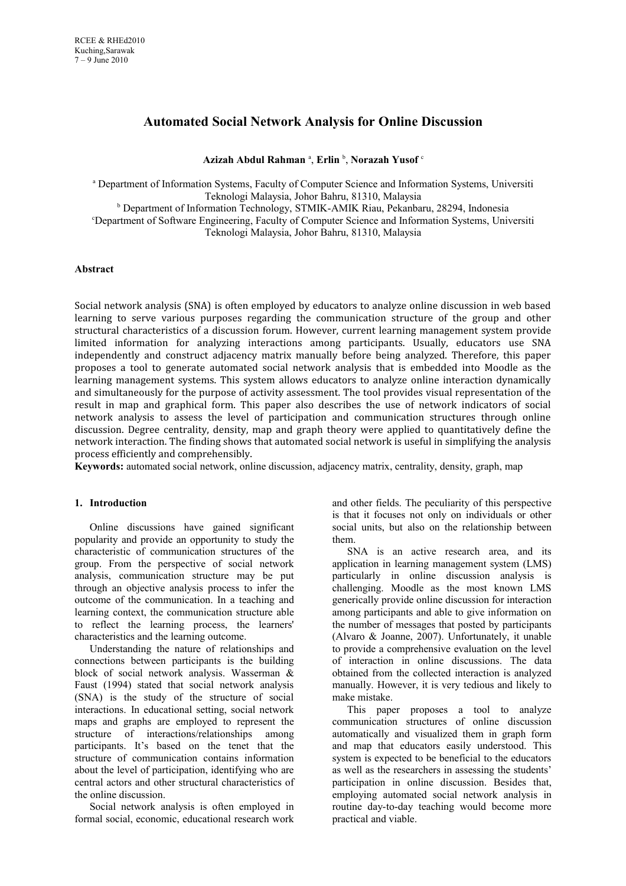# **Automated Social Network Analysis for Online Discussion**

**Azizah Abdul Rahman** <sup>a</sup> , **Erlin** <sup>b</sup> , **Norazah Yusof** <sup>c</sup>

a Department of Information Systems, Faculty of Computer Science and Information Systems, Universiti Teknologi Malaysia, Johor Bahru, 81310, Malaysia <sup>b</sup> Department of Information Technology, STMIK-AMIK Riau, Pekanbaru, 28294, Indonesia <sup>c</sup>Department of Software Engineering, Faculty of Computer Science and Information Systems, Universiti Teknologi Malaysia, Johor Bahru, 81310, Malaysia

# **Abstract**

Social network analysis (SNA) is often employed by educators to analyze online discussion in web based learning to serve various purposes regarding the communication structure of the group and other structural characteristics of a discussion forum. However, current learning management system provide limited information for analyzing interactions among participants. Usually, educators use SNA independently and construct adjacency matrix manually before being analyzed. Therefore, this paper proposes a tool to generate automated social network analysis that is embedded into Moodle as the learning management systems. This system allows educators to analyze online interaction dynamically and simultaneously for the purpose of activity assessment. The tool provides visual representation of the result in map and graphical form. This paper also describes the use of network indicators of social network analysis to assess the level of participation and communication structures through online discussion. Degree centrality, density, map and graph theory were applied to quantitatively define the network interaction. The finding shows that automated social network is useful in simplifying the analysis process efficiently and comprehensibly.

**Keywords:** automated social network, online discussion, adjacency matrix, centrality, density, graph, map

### **1. Introduction**

Online discussions have gained significant popularity and provide an opportunity to study the characteristic of communication structures of the group. From the perspective of social network analysis, communication structure may be put through an objective analysis process to infer the outcome of the communication. In a teaching and learning context, the communication structure able to reflect the learning process, the learners' characteristics and the learning outcome.

Understanding the nature of relationships and connections between participants is the building block of social network analysis. Wasserman & Faust (1994) stated that social network analysis (SNA) is the study of the structure of social interactions. In educational setting, social network maps and graphs are employed to represent the structure of interactions/relationships among participants. It's based on the tenet that the structure of communication contains information about the level of participation, identifying who are central actors and other structural characteristics of the online discussion.

Social network analysis is often employed in formal social, economic, educational research work and other fields. The peculiarity of this perspective is that it focuses not only on individuals or other social units, but also on the relationship between them.

SNA is an active research area, and its application in learning management system (LMS) particularly in online discussion analysis is challenging. Moodle as the most known LMS generically provide online discussion for interaction among participants and able to give information on the number of messages that posted by participants (Alvaro & Joanne, 2007). Unfortunately, it unable to provide a comprehensive evaluation on the level of interaction in online discussions. The data obtained from the collected interaction is analyzed manually. However, it is very tedious and likely to make mistake.

This paper proposes a tool to analyze communication structures of online discussion automatically and visualized them in graph form and map that educators easily understood. This system is expected to be beneficial to the educators as well as the researchers in assessing the students' participation in online discussion. Besides that, employing automated social network analysis in routine day-to-day teaching would become more practical and viable.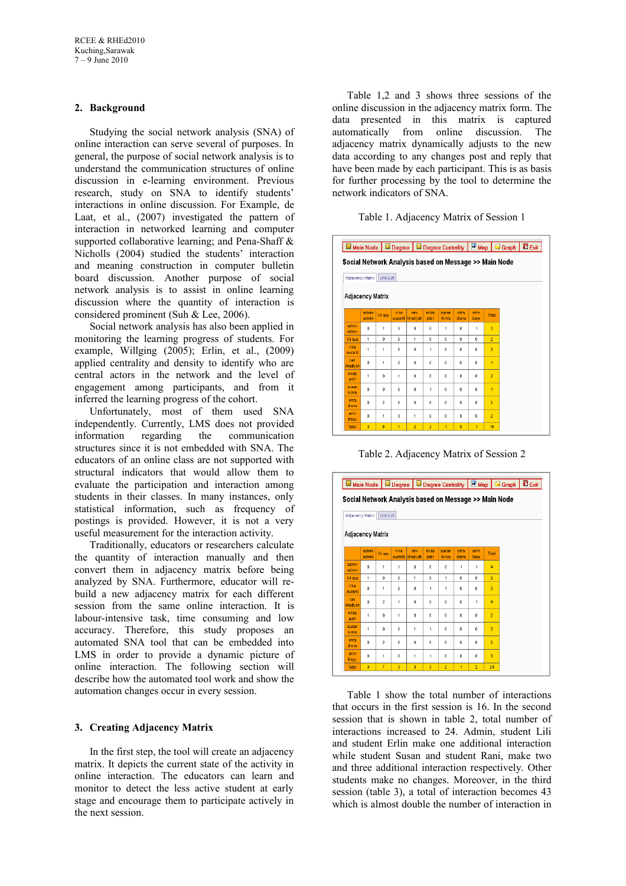# **2. Background**

Studying the social network analysis (SNA) of online interaction can serve several of purposes. In general, the purpose of social network analysis is to understand the communication structures of online discussion in e-learning environment. Previous research, study on SNA to identify students' interactions in online discussion. For Example, de Laat, et al., (2007) investigated the pattern of interaction in networked learning and computer supported collaborative learning; and Pena-Shaff & Nicholls (2004) studied the students' interaction and meaning construction in computer bulletin board discussion. Another purpose of social network analysis is to assist in online learning discussion where the quantity of interaction is considered prominent (Suh & Lee, 2006).

Social network analysis has also been applied in monitoring the learning progress of students. For example, Willging (2005); Erlin, et al., (2009) applied centrality and density to identify who are central actors in the network and the level of engagement among participants, and from it inferred the learning progress of the cohort.

Unfortunately, most of them used SNA independently. Currently, LMS does not provided information regarding the communication structures since it is not embedded with SNA. The educators of an online class are not supported with structural indicators that would allow them to evaluate the participation and interaction among students in their classes. In many instances, only statistical information, such as frequency of postings is provided. However, it is not a very useful measurement for the interaction activity.

Traditionally, educators or researchers calculate the quantity of interaction manually and then convert them in adjacency matrix before being analyzed by SNA. Furthermore, educator will rebuild a new adjacency matrix for each different session from the same online interaction. It is labour-intensive task, time consuming and low accuracy. Therefore, this study proposes an automated SNA tool that can be embedded into LMS in order to provide a dynamic picture of online interaction. The following section will describe how the automated tool work and show the automation changes occur in every session.

### **3. Creating Adjacency Matrix**

In the first step, the tool will create an adjacency matrix. It depicts the current state of the activity in online interaction. The educators can learn and monitor to detect the less active student at early stage and encourage them to participate actively in the next session.

Table 1,2 and 3 shows three sessions of the online discussion in the adjacency matrix form. The data presented in this matrix is captured automatically from online discussion. The adjacency matrix dynamically adjusts to the new data according to any changes post and reply that have been made by each participant. This is as basis for further processing by the tool to determine the network indicators of SNA.

### Table 1. Adjacency Matrix of Session 1

|                   |                         |                      |                 |                                                       |                |                      |                |              |                | Main Node   B Degree   B Degree Centrality   E Map   G Graph   D Exit |  |
|-------------------|-------------------------|----------------------|-----------------|-------------------------------------------------------|----------------|----------------------|----------------|--------------|----------------|-----------------------------------------------------------------------|--|
| Adjacency Matrix  |                         | Link List            |                 | Social Network Analysis based on Message >> Main Node |                |                      |                |              |                |                                                                       |  |
| Adjacency Matrix  |                         |                      |                 |                                                       |                |                      |                |              |                |                                                                       |  |
|                   | admin<br>admin          | lili ayu             | rika<br>susanti | rani<br>khadi jah                                     | nilda<br>putri | susan<br>kimia       | citra<br>diana | erlin<br>baw | Total          |                                                                       |  |
| admin<br>admin    | $\theta$                | $\ddot{\phantom{0}}$ | 0               | $\mathbf{0}$                                          | $\mathbf{0}$   | $\ddot{\phantom{0}}$ | o              | 1            | $\overline{a}$ |                                                                       |  |
| lili ayu          | 1                       | $\mathbf{r}$         | O.              | 1                                                     | $\mathbf{r}$   | Ď.                   | O.             | ĥ.           | $\overline{2}$ |                                                                       |  |
| rika.<br>susanti  | 1                       | $\overline{1}$       | n.              | $\Omega$                                              | 1              | n.                   | n              | n.           | ä              |                                                                       |  |
| rani<br>khadi jah | $\theta$                | $\ddot{\phantom{0}}$ | ٥               | $\mathbf{0}$                                          | $\mathbf{0}$   | ٥                    | 0              | $\mathbf{0}$ | 4              |                                                                       |  |
| nilda<br>putri    | 1                       | $\mathbf{0}$         | 1               | $\mathbf{0}$                                          | $\mathbf{0}$   | $\mathbf{0}$         | o              | 0            | $\overline{2}$ |                                                                       |  |
| susan<br>kimia    | $\mathbf{r}$            | $\mathbf{0}$         | n.              | $\Omega$                                              | $\overline{1}$ | n.                   | n.             | n.           | 4              |                                                                       |  |
| citra<br>diana    | $\theta$                | $\overline{2}$       | ٥               | $\mathbf{0}$                                          | $\mathbf{0}$   | ٥                    | ٥              | 0            | $\overline{2}$ |                                                                       |  |
| erlin.<br>bayu    | $\mathbf{0}$            | $\overline{1}$       | $\mathbf{0}$    | 1                                                     | $\mathbf{0}$   | $\mathbf{0}$         | $\mathbf{0}$   | 0            | $\overline{2}$ |                                                                       |  |
| Total             | $\overline{\mathbf{3}}$ | 6                    | 1               | $\overline{2}$                                        | $\overline{2}$ | 1                    | $\overline{0}$ | 1            | 16             |                                                                       |  |

Table 2. Adjacency Matrix of Session 2



Table 1 show the total number of interactions that occurs in the first session is 16. In the second session that is shown in table 2, total number of interactions increased to 24. Admin, student Lili and student Erlin make one additional interaction while student Susan and student Rani, make two and three additional interaction respectively. Other students make no changes. Moreover, in the third session (table 3), a total of interaction becomes 43 which is almost double the number of interaction in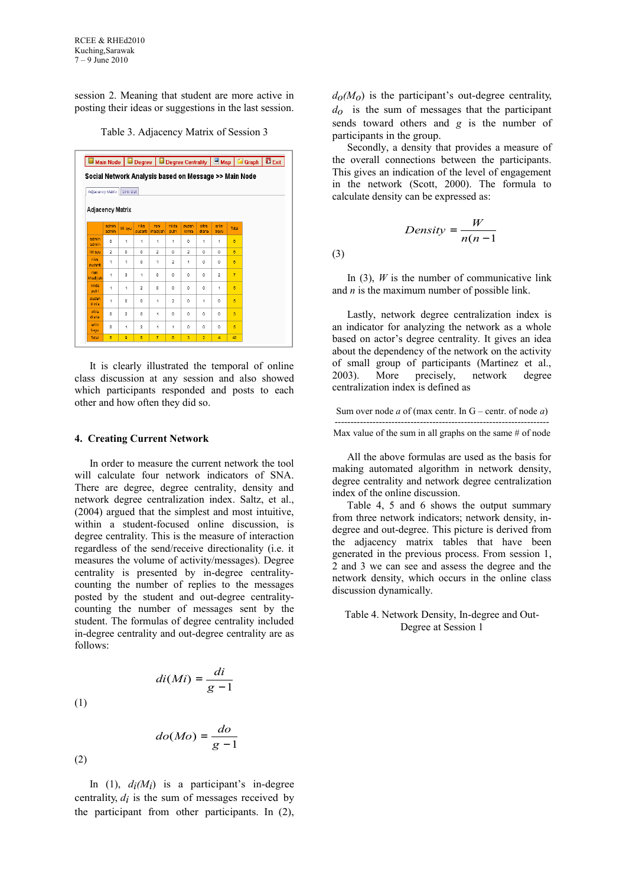session 2. Meaning that student are more active in posting their ideas or suggestions in the last session.

Table 3. Adjacency Matrix of Session 3

|                  |                |                |                 |                                                       |                |                |                |                |                | Main Node   B Degree   B Degree Centrality   B Map   G Graph   B Exit |  |
|------------------|----------------|----------------|-----------------|-------------------------------------------------------|----------------|----------------|----------------|----------------|----------------|-----------------------------------------------------------------------|--|
|                  |                |                |                 | Social Network Analysis based on Message >> Main Node |                |                |                |                |                |                                                                       |  |
| Adjacency Matrix |                | Link List      |                 |                                                       |                |                |                |                |                |                                                                       |  |
| Adjacency Matrix |                |                |                 |                                                       |                |                |                |                |                |                                                                       |  |
|                  | admin<br>admin | lili ayu       | rika<br>susanti | rani<br>khadijah                                      | nilda<br>putri | susan<br>kimia | citra<br>diana | erlin<br>bayu  | Total          |                                                                       |  |
| admin<br>admin   | $\mathbf{0}$   | 1              | 1               | 1                                                     | 1              | $\mathbf{0}$   | 1              | 1              | 6              |                                                                       |  |
| lili ayu         | $\overline{2}$ | $\bf{0}$       | $\Omega$        | $\overline{2}$                                        | $\Omega$       | $\overline{2}$ | $\Omega$       | $\Omega$       | $\mathbf{B}$   |                                                                       |  |
| rika<br>susanti  | 1              | 1              | $\mathbf{0}$    | 1                                                     | $\overline{2}$ | 1              | $\mathbf{0}$   | $\mathbf{0}$   | 6              |                                                                       |  |
| rani<br>khadijah | 1              | 3              | 1               | ٥                                                     | $\mathbf{0}$   | $\mathbf{0}$   | $\mathbf{0}$   | $\overline{2}$ | $\overline{7}$ |                                                                       |  |
| nilda<br>putri   | 1              | 1              | $\overline{2}$  | ٥                                                     | $\theta$       | $\mathbf{0}$   | $\mathbf{0}$   | 1              | 6              |                                                                       |  |
| susan<br>kimia   | 1              | $\bf{0}$       | $\bf{0}$        | 1                                                     | $\overline{2}$ | $\mathbf{0}$   | 1              | 0              | 5              |                                                                       |  |
| citra<br>diana   | $\mathbf{0}$   | $\overline{c}$ | $\bf{0}$        | 1                                                     | $\mathbf 0$    | $\mathbf{0}$   | $\mathbf{0}$   | $\bf{0}$       | 3              |                                                                       |  |
| erlin<br>bayu    | $\mathbf{0}$   | 1              | $\overline{2}$  | $\ddot{\phantom{0}}$                                  | 1              | $\mathbf{0}$   | $\mathbf{0}$   | $\mathbf{0}$   | 6              |                                                                       |  |
| <b>Total</b>     | 6              | 9              | 6               | $\overline{7}$                                        | 6              | 3              | $\overline{2}$ | 4              | 43             |                                                                       |  |

It is clearly illustrated the temporal of online class discussion at any session and also showed which participants responded and posts to each other and how often they did so.

#### **4. Creating Current Network**

In order to measure the current network the tool will calculate four network indicators of SNA. There are degree, degree centrality, density and network degree centralization index. Saltz, et al., (2004) argued that the simplest and most intuitive, within a student-focused online discussion, is degree centrality. This is the measure of interaction regardless of the send/receive directionality (i.e. it measures the volume of activity/messages). Degree centrality is presented by in-degree centralitycounting the number of replies to the messages posted by the student and out-degree centralitycounting the number of messages sent by the student. The formulas of degree centrality included in-degree centrality and out-degree centrality are as follows:

(1)  
\n
$$
\left( di(Mi) = \frac{di}{g-1} \right)
$$
\n
$$
\left( do(Mo) = \frac{do}{g-1} \right)
$$
\n(2)

In  $(1)$ ,  $d_i(M_i)$  is a participant's in-degree centrality,  $d_i$  is the sum of messages received by the participant from other participants. In (2),  $d_0(M_0)$  is the participant's out-degree centrality, *do* is the sum of messages that the participant sends toward others and *g* is the number of participants in the group.

Secondly, a density that provides a measure of the overall connections between the participants. This gives an indication of the level of engagement in the network (Scott, 2000). The formula to calculate density can be expressed as:

(3)

In  $(3)$ , *W* is the number of communicative link and *n* is the maximum number of possible link.

 $\overline{\phantom{a}}$  $\left( \begin{array}{c} 1 \end{array} \right)$ 

 $=\frac{n}{n(n-1)}$ *Density* =  $\frac{W}{(1 + \epsilon)^{1}}$ 

Density =  $\frac{n}{p(n-1)}$ 

I l ſ

Lastly, network degree centralization index is an indicator for analyzing the network as a whole based on actor's degree centrality. It gives an idea about the dependency of the network on the activity of small group of participants (Martinez et al., 2003). More precisely, network degree centralization index is defined as

Sum over node *a* of (max centr. In G – centr. of node *a*) -------------------------------------------------------------------- Max value of the sum in all graphs on the same  $#$  of node

All the above formulas are used as the basis for making automated algorithm in network density, degree centrality and network degree centralization index of the online discussion.

Table 4, 5 and 6 shows the output summary from three network indicators; network density, indegree and out-degree. This picture is derived from the adjacency matrix tables that have been generated in the previous process. From session 1, 2 and 3 we can see and assess the degree and the network density, which occurs in the online class discussion dynamically.

Table 4. Network Density, In-degree and Out-Degree at Session 1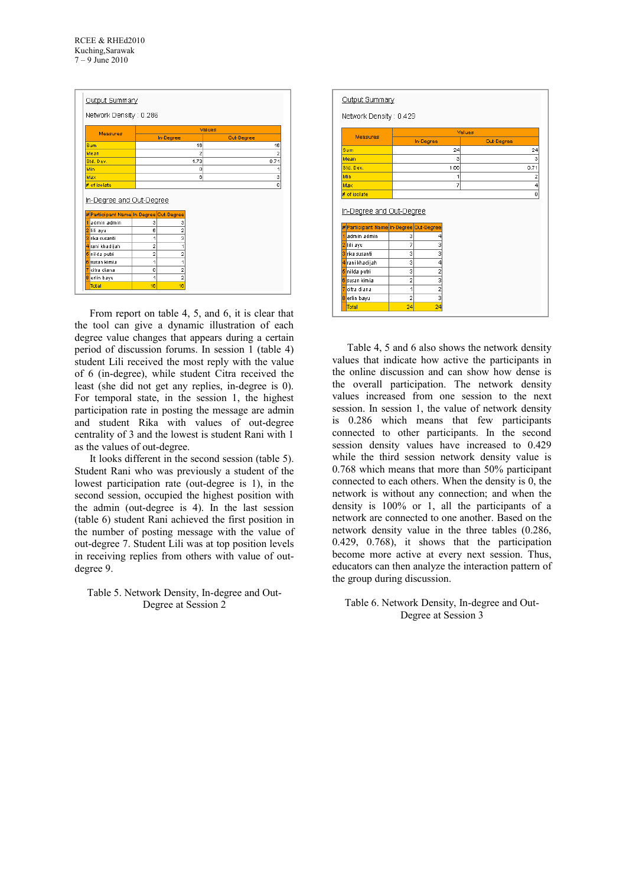|                                                                                                                | Network Density: 0.286 |                |                |
|----------------------------------------------------------------------------------------------------------------|------------------------|----------------|----------------|
|                                                                                                                |                        |                |                |
| Measures                                                                                                       |                        |                | Values         |
|                                                                                                                |                        | In-Degree      | Out-Degree     |
| Sum                                                                                                            |                        | 16             | 16             |
| Mean                                                                                                           |                        | $\overline{2}$ | $\overline{2}$ |
| Std. Dev.                                                                                                      |                        | 1.73           | 0.71           |
| Min                                                                                                            |                        | $\circ$        | 1              |
| Max                                                                                                            |                        | 6              | 3              |
| # of isolate                                                                                                   |                        |                | o              |
|                                                                                                                |                        |                |                |
|                                                                                                                |                        |                |                |
| admin admin<br>4                                                                                               | 3                      | 3              |                |
|                                                                                                                | 6                      | $\overline{2}$ |                |
| rika susanti.<br>Ŕ                                                                                             | 1                      | 3              |                |
|                                                                                                                | $\overline{2}$         | 1              |                |
| nilda putri                                                                                                    | $\overline{a}$         | $\overline{a}$ |                |
|                                                                                                                | 1                      | 1              |                |
| 2 lili ayu<br>4 rani khadijah<br>5<br>citra diana                                                              | o                      | $\overline{a}$ |                |
| In-Degree and Out-Degree<br># Participant Name In-Degree Out-Degree<br><b>B</b> susan kimia<br>erlin bayu<br>8 | 1                      | $\overline{2}$ |                |

From report on table 4, 5, and 6, it is clear that the tool can give a dynamic illustration of each degree value changes that appears during a certain period of discussion forums. In session 1 (table 4) student Lili received the most reply with the value of 6 (in-degree), while student Citra received the least (she did not get any replies, in-degree is 0). For temporal state, in the session 1, the highest participation rate in posting the message are admin and student Rika with values of out-degree centrality of 3 and the lowest is student Rani with 1 as the values of out-degree.

It looks different in the second session (table 5). Student Rani who was previously a student of the lowest participation rate (out-degree is 1), in the second session, occupied the highest position with the admin (out-degree is 4). In the last session (table 6) student Rani achieved the first position in the number of posting message with the value of out-degree 7. Student Lili was at top position levels in receiving replies from others with value of outdegree 9.

Table 5. Network Density, In-degree and Out-Degree at Session 2

| Network Density: 0.429                                                                                                                                  |                |                |            |                |
|---------------------------------------------------------------------------------------------------------------------------------------------------------|----------------|----------------|------------|----------------|
| Measures                                                                                                                                                |                | Values         |            |                |
|                                                                                                                                                         |                | In-Degree      | Out-Degree |                |
| Sum                                                                                                                                                     |                | 24             |            | 24             |
| Mean                                                                                                                                                    |                | 3              |            | 3              |
| Std. Dev.                                                                                                                                               |                | 1.66           |            | 0.71           |
| Min                                                                                                                                                     |                | 1              |            | $\overline{2}$ |
| Max                                                                                                                                                     |                | 7              |            | 4              |
| # of isolate                                                                                                                                            |                |                |            |                |
|                                                                                                                                                         |                |                |            | $\mathbf 0$    |
|                                                                                                                                                         |                |                |            |                |
| admin admin                                                                                                                                             | 3              | 4              |            |                |
| lili ayu                                                                                                                                                | 7              | 3              |            |                |
| rika susanti                                                                                                                                            | 3              | 3              |            |                |
|                                                                                                                                                         | 3              | 4              |            |                |
| nilda putri                                                                                                                                             | 3              | $\overline{2}$ |            |                |
|                                                                                                                                                         | $\overline{2}$ | 3              |            |                |
| citra diana                                                                                                                                             | 1              |                |            |                |
| In-Degree and Out-Degree<br># Participant Name In-Degree Out-Degree<br>2<br>ä<br>4 rani khadijah<br>5<br><mark>6</mark> susan kimia.<br>erlin bayu<br>8 | $\overline{2}$ | $\frac{2}{3}$  |            |                |

Table 4, 5 and 6 also shows the network density values that indicate how active the participants in the online discussion and can show how dense is the overall participation. The network density values increased from one session to the next session. In session 1, the value of network density is 0.286 which means that few participants connected to other participants. In the second session density values have increased to 0.429 while the third session network density value is 0.768 which means that more than 50% participant connected to each others. When the density is 0, the network is without any connection; and when the density is 100% or 1, all the participants of a network are connected to one another. Based on the network density value in the three tables (0.286, 0.429, 0.768), it shows that the participation become more active at every next session. Thus, educators can then analyze the interaction pattern of the group during discussion.

Table 6. Network Density, In-degree and Out-Degree at Session 3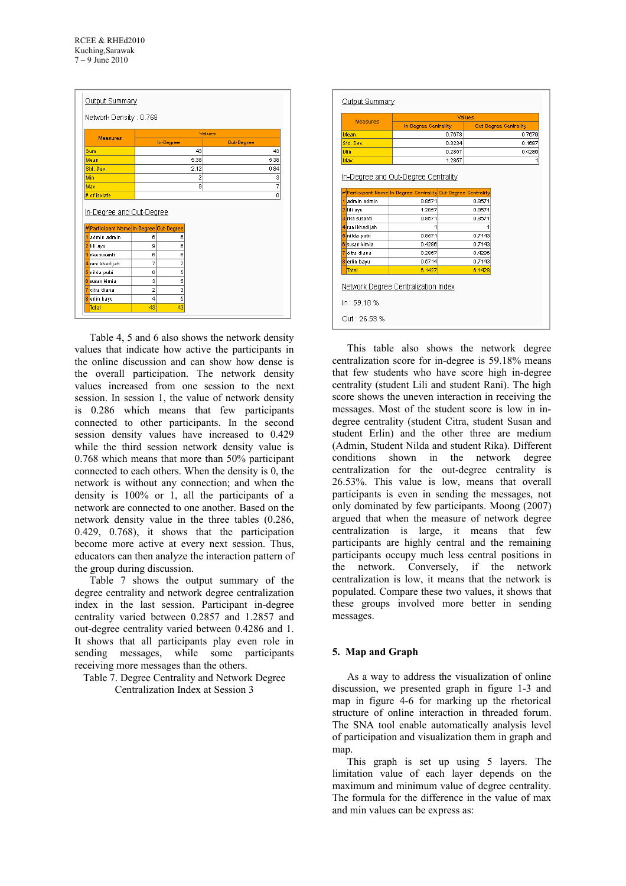| Network Density: 0.768                                                                                              |                |           |                |        |            |
|---------------------------------------------------------------------------------------------------------------------|----------------|-----------|----------------|--------|------------|
|                                                                                                                     |                |           |                | Values |            |
| Measures                                                                                                            |                | In-Degree |                |        | Out-Degree |
| Sum                                                                                                                 |                |           | 43             |        | 43         |
| Mean                                                                                                                |                |           | 5.38           |        | 5.38       |
| Std. Dev.                                                                                                           |                |           | 2.12           |        | 0.84       |
| Min                                                                                                                 |                |           | $\overline{2}$ |        | 3          |
| Max                                                                                                                 |                |           | 9              |        | 7          |
| # of isolate                                                                                                        |                |           |                |        |            |
|                                                                                                                     |                |           |                |        |            |
|                                                                                                                     |                |           |                |        | 0          |
| admin admin                                                                                                         | 6              | 6         |                |        |            |
| lili ayu                                                                                                            | 9              | 6         |                |        |            |
| rika susanti                                                                                                        | 6              | 6         |                |        |            |
|                                                                                                                     | 7              | 7         |                |        |            |
| nilda putri                                                                                                         | 6              | 5         |                |        |            |
| susan kimia                                                                                                         | 3              | 5         |                |        |            |
| citra diana.                                                                                                        | $\overline{2}$ | 3         |                |        |            |
| In-Degree and Out-Degree<br># Participant Name In-Degree Out-Degree<br>ā<br>4 rani khadijah<br>R<br>erlin bayu<br>8 | 4              | 5         |                |        |            |

Table 4, 5 and 6 also shows the network density values that indicate how active the participants in the online discussion and can show how dense is the overall participation. The network density values increased from one session to the next session. In session 1, the value of network density is 0.286 which means that few participants connected to other participants. In the second session density values have increased to 0.429 while the third session network density value is 0.768 which means that more than 50% participant connected to each others. When the density is 0, the network is without any connection; and when the density is 100% or 1, all the participants of a network are connected to one another. Based on the network density value in the three tables (0.286, 0.429, 0.768), it shows that the participation become more active at every next session. Thus, educators can then analyze the interaction pattern of the group during discussion.

Table 7 shows the output summary of the degree centrality and network degree centralization index in the last session. Participant in-degree centrality varied between 0.2857 and 1.2857 and out-degree centrality varied between 0.4286 and 1. It shows that all participants play even role in sending messages, while some participants receiving more messages than the others.

Table 7. Degree Centrality and Network Degree Centralization Index at Session 3

| In-Degree Centrality<br>Out-Degree Centrality<br>0.7678<br>0.7679<br>0.3234<br>0.1697<br>0.2857<br>0.4286<br>1.2857<br>1<br><u>In-Degree and Out-Degree Centrality</u><br># Participant Name In-Degree Centrality Out-Degree Centrality <br>admin admin.<br>0.8571<br>0.8571<br>1.2857<br>0.8571<br>rika susanti.<br>0.8571<br>0.8571<br>4 rani khadijah<br>1<br>0.7143<br>0.8571<br>nilda putri<br><mark>B</mark> kusan kimia.<br>0.4286<br>0.7143<br>citra diana<br>0.2857<br>0.4286<br>0.5714<br>0.7143<br>erlin bayu<br>Total<br>6.1427<br>6.1428 | <b>Measures</b> |  | Values |  |
|-------------------------------------------------------------------------------------------------------------------------------------------------------------------------------------------------------------------------------------------------------------------------------------------------------------------------------------------------------------------------------------------------------------------------------------------------------------------------------------------------------------------------------------------------------|-----------------|--|--------|--|
|                                                                                                                                                                                                                                                                                                                                                                                                                                                                                                                                                       |                 |  |        |  |
|                                                                                                                                                                                                                                                                                                                                                                                                                                                                                                                                                       | Mean            |  |        |  |
|                                                                                                                                                                                                                                                                                                                                                                                                                                                                                                                                                       | Std. Dev.       |  |        |  |
|                                                                                                                                                                                                                                                                                                                                                                                                                                                                                                                                                       | Min             |  |        |  |
|                                                                                                                                                                                                                                                                                                                                                                                                                                                                                                                                                       | Max             |  |        |  |
|                                                                                                                                                                                                                                                                                                                                                                                                                                                                                                                                                       | lili ayu        |  |        |  |
|                                                                                                                                                                                                                                                                                                                                                                                                                                                                                                                                                       |                 |  |        |  |
|                                                                                                                                                                                                                                                                                                                                                                                                                                                                                                                                                       |                 |  |        |  |
|                                                                                                                                                                                                                                                                                                                                                                                                                                                                                                                                                       |                 |  |        |  |
|                                                                                                                                                                                                                                                                                                                                                                                                                                                                                                                                                       |                 |  |        |  |
|                                                                                                                                                                                                                                                                                                                                                                                                                                                                                                                                                       | 5               |  |        |  |
|                                                                                                                                                                                                                                                                                                                                                                                                                                                                                                                                                       |                 |  |        |  |
|                                                                                                                                                                                                                                                                                                                                                                                                                                                                                                                                                       |                 |  |        |  |
|                                                                                                                                                                                                                                                                                                                                                                                                                                                                                                                                                       |                 |  |        |  |
|                                                                                                                                                                                                                                                                                                                                                                                                                                                                                                                                                       | 8               |  |        |  |
|                                                                                                                                                                                                                                                                                                                                                                                                                                                                                                                                                       |                 |  |        |  |
|                                                                                                                                                                                                                                                                                                                                                                                                                                                                                                                                                       |                 |  |        |  |
| <b>Network Degree Centralization Index</b>                                                                                                                                                                                                                                                                                                                                                                                                                                                                                                            |                 |  |        |  |
|                                                                                                                                                                                                                                                                                                                                                                                                                                                                                                                                                       | In : 59.18 %    |  |        |  |

This table also shows the network degree centralization score for in-degree is 59.18% means that few students who have score high in-degree centrality (student Lili and student Rani). The high score shows the uneven interaction in receiving the messages. Most of the student score is low in indegree centrality (student Citra, student Susan and student Erlin) and the other three are medium (Admin, Student Nilda and student Rika). Different conditions shown in the network degree centralization for the out-degree centrality is 26.53%. This value is low, means that overall participants is even in sending the messages, not only dominated by few participants. Moong (2007) argued that when the measure of network degree centralization is large, it means that few participants are highly central and the remaining participants occupy much less central positions in the network. Conversely, if the network centralization is low, it means that the network is populated. Compare these two values, it shows that these groups involved more better in sending messages.

### **5. Map and Graph**

As a way to address the visualization of online discussion, we presented graph in figure 1-3 and map in figure 4-6 for marking up the rhetorical structure of online interaction in threaded forum. The SNA tool enable automatically analysis level of participation and visualization them in graph and map.

This graph is set up using 5 layers. The limitation value of each layer depends on the maximum and minimum value of degree centrality. The formula for the difference in the value of max and min values can be express as: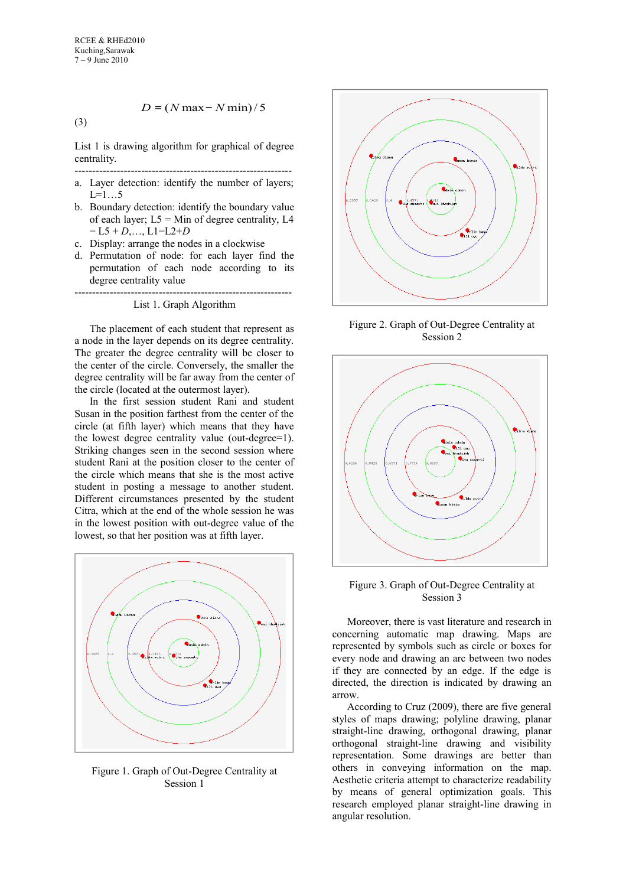*D* <sup>=</sup> (*N* max<sup>−</sup> *N* min)/ 5

List 1 is drawing algorithm for graphical of degree centrality.

- ------------------------------------------------------------- a. Layer detection: identify the number of layers;  $L=1...5$
- b. Boundary detection: identify the boundary value of each layer;  $L5 = Min$  of degree centrality, L4  $=$  L5 + *D*,..., L1=L2+*D*
- c. Display: arrange the nodes in a clockwise
- d. Permutation of node: for each layer find the permutation of each node according to its degree centrality value

-------------------------------------------------------------- List 1. Graph Algorithm

The placement of each student that represent as a node in the layer depends on its degree centrality. The greater the degree centrality will be closer to the center of the circle. Conversely, the smaller the degree centrality will be far away from the center of the circle (located at the outermost layer).

In the first session student Rani and student Susan in the position farthest from the center of the circle (at fifth layer) which means that they have the lowest degree centrality value (out-degree=1). Striking changes seen in the second session where student Rani at the position closer to the center of the circle which means that she is the most active student in posting a message to another student. Different circumstances presented by the student Citra, which at the end of the whole session he was in the lowest position with out-degree value of the lowest, so that her position was at fifth layer.



Figure 1. Graph of Out-Degree Centrality at Session 1



Figure 2. Graph of Out-Degree Centrality at Session 2



Figure 3. Graph of Out-Degree Centrality at Session 3

Moreover, there is vast literature and research in concerning automatic map drawing. Maps are represented by symbols such as circle or boxes for every node and drawing an arc between two nodes if they are connected by an edge. If the edge is directed, the direction is indicated by drawing an arrow.

According to Cruz (2009), there are five general styles of maps drawing; polyline drawing, planar straight-line drawing, orthogonal drawing, planar orthogonal straight-line drawing and visibility representation. Some drawings are better than others in conveying information on the map. Aesthetic criteria attempt to characterize readability by means of general optimization goals. This research employed planar straight-line drawing in angular resolution.

(3)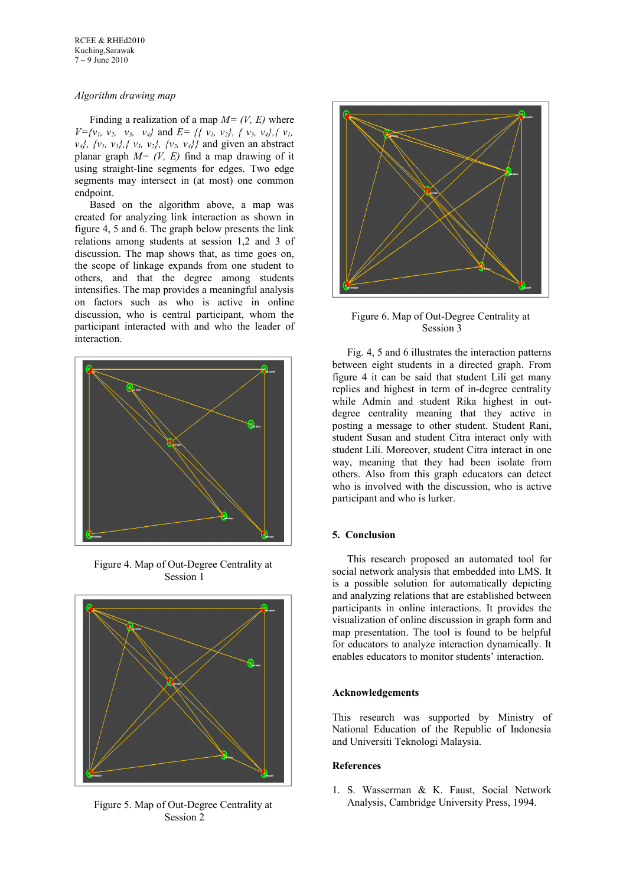### *Algorithm drawing map*

Finding a realization of a map  $M = (V, E)$  where  $V = \{v_1, v_2, v_3, v_4\}$  and  $E = \{\{v_1, v_2\}, \{v_3, v_4\}, \{v_1, v_2\} \}$ *v*<sub>4</sub><sup>*}*</sup>,  $\{v_1, v_2\}$ ,  $\{v_3, v_2\}$ ,  $\{v_2, v_4\}$  and given an abstract planar graph  $M = (V, E)$  find a map drawing of it using straight-line segments for edges. Two edge segments may intersect in (at most) one common endpoint.

Based on the algorithm above, a map was created for analyzing link interaction as shown in figure 4, 5 and 6. The graph below presents the link relations among students at session 1,2 and 3 of discussion. The map shows that, as time goes on, the scope of linkage expands from one student to others, and that the degree among students intensifies. The map provides a meaningful analysis on factors such as who is active in online discussion, who is central participant, whom the participant interacted with and who the leader of interaction.



Figure 4. Map of Out-Degree Centrality at Session 1



Figure 5. Map of Out-Degree Centrality at Session 2



Figure 6. Map of Out-Degree Centrality at Session 3

Fig. 4, 5 and 6 illustrates the interaction patterns between eight students in a directed graph. From figure 4 it can be said that student Lili get many replies and highest in term of in-degree centrality while Admin and student Rika highest in outdegree centrality meaning that they active in posting a message to other student. Student Rani, student Susan and student Citra interact only with student Lili. Moreover, student Citra interact in one way, meaning that they had been isolate from others. Also from this graph educators can detect who is involved with the discussion, who is active participant and who is lurker.

### **5. Conclusion**

This research proposed an automated tool for social network analysis that embedded into LMS. It is a possible solution for automatically depicting and analyzing relations that are established between participants in online interactions. It provides the visualization of online discussion in graph form and map presentation. The tool is found to be helpful for educators to analyze interaction dynamically. It enables educators to monitor students' interaction.

### **Acknowledgements**

This research was supported by Ministry of National Education of the Republic of Indonesia and Universiti Teknologi Malaysia.

# **References**

1. S. Wasserman & K. Faust, Social Network Analysis, Cambridge University Press, 1994.